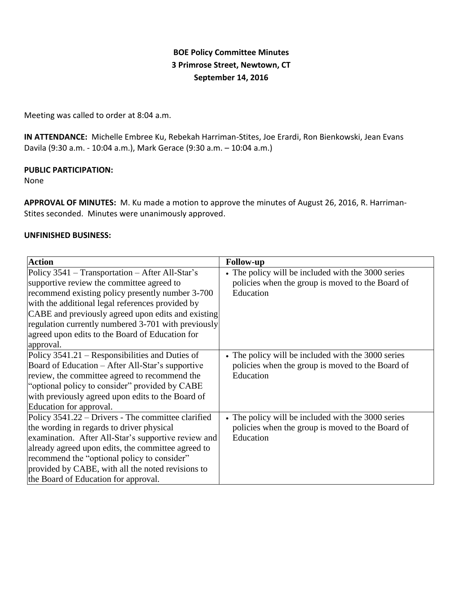# **BOE Policy Committee Minutes 3 Primrose Street, Newtown, CT September 14, 2016**

Meeting was called to order at 8:04 a.m.

**IN ATTENDANCE:** Michelle Embree Ku, Rebekah Harriman-Stites, Joe Erardi, Ron Bienkowski, Jean Evans Davila (9:30 a.m. - 10:04 a.m.), Mark Gerace (9:30 a.m. – 10:04 a.m.)

# **PUBLIC PARTICIPATION:**

None

**APPROVAL OF MINUTES:** M. Ku made a motion to approve the minutes of August 26, 2016, R. Harriman-Stites seconded. Minutes were unanimously approved.

# **UNFINISHED BUSINESS:**

| <b>Action</b>                                       | <b>Follow-up</b>                                   |  |
|-----------------------------------------------------|----------------------------------------------------|--|
| Policy 3541 – Transportation – After All-Star's     | • The policy will be included with the 3000 series |  |
| supportive review the committee agreed to           | policies when the group is moved to the Board of   |  |
| recommend existing policy presently number 3-700    | Education                                          |  |
| with the additional legal references provided by    |                                                    |  |
| CABE and previously agreed upon edits and existing  |                                                    |  |
| regulation currently numbered 3-701 with previously |                                                    |  |
| agreed upon edits to the Board of Education for     |                                                    |  |
| approval.                                           |                                                    |  |
| Policy 3541.21 – Responsibilities and Duties of     | • The policy will be included with the 3000 series |  |
| Board of Education – After All-Star's supportive    | policies when the group is moved to the Board of   |  |
| review, the committee agreed to recommend the       | Education                                          |  |
| "optional policy to consider" provided by CABE      |                                                    |  |
| with previously agreed upon edits to the Board of   |                                                    |  |
| Education for approval.                             |                                                    |  |
| Policy 3541.22 – Drivers - The committee clarified  | • The policy will be included with the 3000 series |  |
| the wording in regards to driver physical           | policies when the group is moved to the Board of   |  |
| examination. After All-Star's supportive review and | Education                                          |  |
| already agreed upon edits, the committee agreed to  |                                                    |  |
| recommend the "optional policy to consider"         |                                                    |  |
| provided by CABE, with all the noted revisions to   |                                                    |  |
| the Board of Education for approval.                |                                                    |  |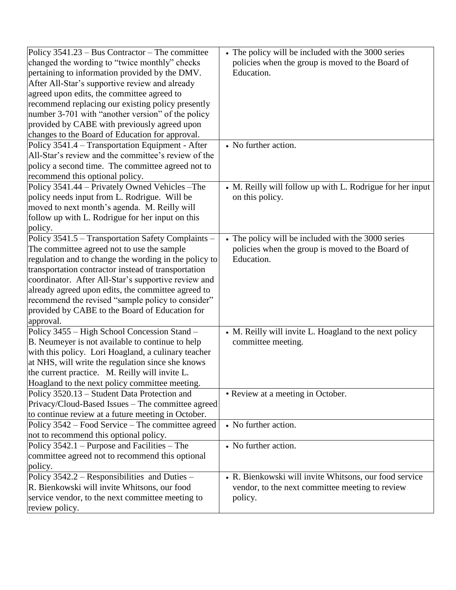| Policy $3541.23 - Bus$ Contractor – The committee     | • The policy will be included with the 3000 series        |  |
|-------------------------------------------------------|-----------------------------------------------------------|--|
| changed the wording to "twice monthly" checks         | policies when the group is moved to the Board of          |  |
| pertaining to information provided by the DMV.        | Education.                                                |  |
| After All-Star's supportive review and already        |                                                           |  |
| agreed upon edits, the committee agreed to            |                                                           |  |
| recommend replacing our existing policy presently     |                                                           |  |
| number 3-701 with "another version" of the policy     |                                                           |  |
| provided by CABE with previously agreed upon          |                                                           |  |
| changes to the Board of Education for approval.       |                                                           |  |
| Policy 3541.4 – Transportation Equipment - After      | • No further action.                                      |  |
| All-Star's review and the committee's review of the   |                                                           |  |
| policy a second time. The committee agreed not to     |                                                           |  |
| recommend this optional policy.                       |                                                           |  |
| Policy 3541.44 - Privately Owned Vehicles - The       | • M. Reilly will follow up with L. Rodrigue for her input |  |
| policy needs input from L. Rodrigue. Will be          | on this policy.                                           |  |
| moved to next month's agenda. M. Reilly will          |                                                           |  |
| follow up with L. Rodrigue for her input on this      |                                                           |  |
| policy.                                               |                                                           |  |
| Policy 3541.5 - Transportation Safety Complaints -    | • The policy will be included with the 3000 series        |  |
| The committee agreed not to use the sample            | policies when the group is moved to the Board of          |  |
| regulation and to change the wording in the policy to | Education.                                                |  |
| transportation contractor instead of transportation   |                                                           |  |
| coordinator. After All-Star's supportive review and   |                                                           |  |
| already agreed upon edits, the committee agreed to    |                                                           |  |
| recommend the revised "sample policy to consider"     |                                                           |  |
| provided by CABE to the Board of Education for        |                                                           |  |
| approval.                                             |                                                           |  |
| Policy 3455 - High School Concession Stand -          | • M. Reilly will invite L. Hoagland to the next policy    |  |
| B. Neumeyer is not available to continue to help      | committee meeting.                                        |  |
| with this policy. Lori Hoagland, a culinary teacher   |                                                           |  |
| at NHS, will write the regulation since she knows     |                                                           |  |
| the current practice. M. Reilly will invite L.        |                                                           |  |
| Hoagland to the next policy committee meeting.        |                                                           |  |
| Policy 3520.13 – Student Data Protection and          | • Review at a meeting in October.                         |  |
| Privacy/Cloud-Based Issues – The committee agreed     |                                                           |  |
| to continue review at a future meeting in October.    |                                                           |  |
| Policy 3542 – Food Service – The committee agreed     | • No further action.                                      |  |
| not to recommend this optional policy.                |                                                           |  |
| Policy $3542.1$ – Purpose and Facilities – The        | • No further action.                                      |  |
| committee agreed not to recommend this optional       |                                                           |  |
| policy.                                               |                                                           |  |
| Policy 3542.2 - Responsibilities and Duties -         | • R. Bienkowski will invite Whitsons, our food service    |  |
| R. Bienkowski will invite Whitsons, our food          | vendor, to the next committee meeting to review           |  |
| service vendor, to the next committee meeting to      | policy.                                                   |  |
| review policy.                                        |                                                           |  |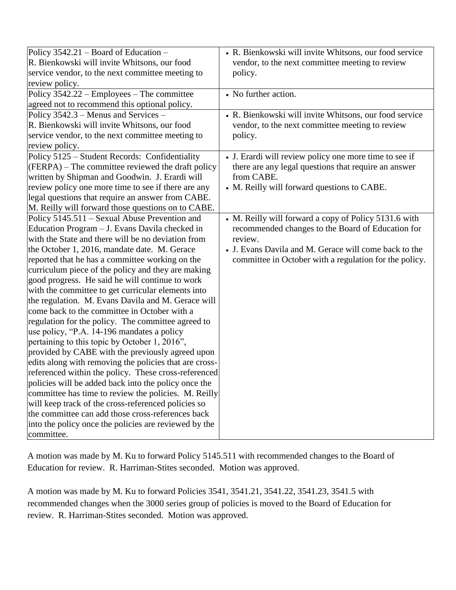| Policy $3542.21$ – Board of Education –                | • R. Bienkowski will invite Whitsons, our food service |
|--------------------------------------------------------|--------------------------------------------------------|
| R. Bienkowski will invite Whitsons, our food           | vendor, to the next committee meeting to review        |
| service vendor, to the next committee meeting to       | policy.                                                |
| review policy.                                         |                                                        |
| Policy 3542.22 – Employees – The committee             | • No further action.                                   |
| agreed not to recommend this optional policy.          |                                                        |
| Policy 3542.3 – Menus and Services –                   | • R. Bienkowski will invite Whitsons, our food service |
| R. Bienkowski will invite Whitsons, our food           | vendor, to the next committee meeting to review        |
| service vendor, to the next committee meeting to       | policy.                                                |
| review policy.                                         |                                                        |
| Policy 5125 - Student Records: Confidentiality         | • J. Erardi will review policy one more time to see if |
| (FERPA) – The committee reviewed the draft policy      | there are any legal questions that require an answer   |
| written by Shipman and Goodwin. J. Erardi will         | from CABE.                                             |
| review policy one more time to see if there are any    | • M. Reilly will forward questions to CABE.            |
| legal questions that require an answer from CABE.      |                                                        |
| M. Reilly will forward those questions on to CABE.     |                                                        |
| Policy 5145.511 – Sexual Abuse Prevention and          | • M. Reilly will forward a copy of Policy 5131.6 with  |
| Education Program - J. Evans Davila checked in         | recommended changes to the Board of Education for      |
| with the State and there will be no deviation from     | review.                                                |
| the October 1, 2016, mandate date. M. Gerace           | • J. Evans Davila and M. Gerace will come back to the  |
| reported that he has a committee working on the        | committee in October with a regulation for the policy. |
| curriculum piece of the policy and they are making     |                                                        |
| good progress. He said he will continue to work        |                                                        |
| with the committee to get curricular elements into     |                                                        |
| the regulation. M. Evans Davila and M. Gerace will     |                                                        |
| come back to the committee in October with a           |                                                        |
| regulation for the policy. The committee agreed to     |                                                        |
| use policy, "P.A. 14-196 mandates a policy             |                                                        |
| pertaining to this topic by October 1, 2016",          |                                                        |
| provided by CABE with the previously agreed upon       |                                                        |
| edits along with removing the policies that are cross- |                                                        |
| referenced within the policy. These cross-referenced   |                                                        |
| policies will be added back into the policy once the   |                                                        |
| committee has time to review the policies. M. Reilly   |                                                        |
| will keep track of the cross-referenced policies so    |                                                        |
| the committee can add those cross-references back      |                                                        |
| into the policy once the policies are reviewed by the  |                                                        |
| committee.                                             |                                                        |

A motion was made by M. Ku to forward Policy 5145.511 with recommended changes to the Board of Education for review. R. Harriman-Stites seconded. Motion was approved.

A motion was made by M. Ku to forward Policies 3541, 3541.21, 3541.22, 3541.23, 3541.5 with recommended changes when the 3000 series group of policies is moved to the Board of Education for review. R. Harriman-Stites seconded. Motion was approved.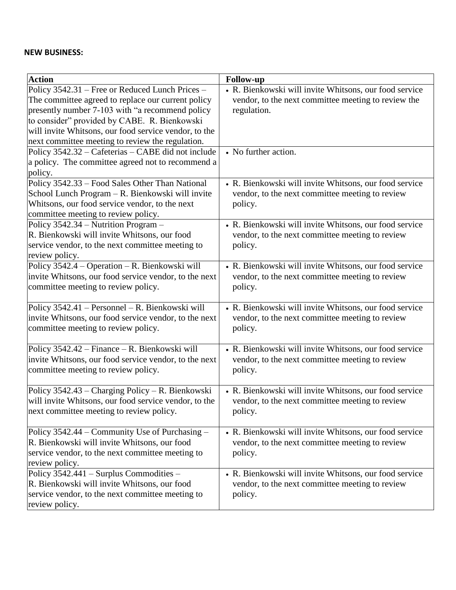# **NEW BUSINESS:**

| <b>Action</b>                                         | <b>Follow-up</b>                                       |  |
|-------------------------------------------------------|--------------------------------------------------------|--|
| Policy 3542.31 - Free or Reduced Lunch Prices -       | • R. Bienkowski will invite Whitsons, our food service |  |
| The committee agreed to replace our current policy    | vendor, to the next committee meeting to review the    |  |
| presently number 7-103 with "a recommend policy       | regulation.                                            |  |
| to consider" provided by CABE. R. Bienkowski          |                                                        |  |
| will invite Whitsons, our food service vendor, to the |                                                        |  |
| next committee meeting to review the regulation.      |                                                        |  |
| Policy 3542.32 - Cafeterias - CABE did not include    | • No further action.                                   |  |
| a policy. The committee agreed not to recommend a     |                                                        |  |
| policy.                                               |                                                        |  |
| Policy 3542.33 - Food Sales Other Than National       | • R. Bienkowski will invite Whitsons, our food service |  |
| School Lunch Program - R. Bienkowski will invite      | vendor, to the next committee meeting to review        |  |
| Whitsons, our food service vendor, to the next        | policy.                                                |  |
| committee meeting to review policy.                   |                                                        |  |
| Policy 3542.34 – Nutrition Program –                  | • R. Bienkowski will invite Whitsons, our food service |  |
| R. Bienkowski will invite Whitsons, our food          | vendor, to the next committee meeting to review        |  |
| service vendor, to the next committee meeting to      | policy.                                                |  |
| review policy.                                        |                                                        |  |
| Policy 3542.4 – Operation – R. Bienkowski will        | • R. Bienkowski will invite Whitsons, our food service |  |
| invite Whitsons, our food service vendor, to the next | vendor, to the next committee meeting to review        |  |
| committee meeting to review policy.                   | policy.                                                |  |
|                                                       |                                                        |  |
| Policy 3542.41 – Personnel – R. Bienkowski will       | • R. Bienkowski will invite Whitsons, our food service |  |
| invite Whitsons, our food service vendor, to the next | vendor, to the next committee meeting to review        |  |
| committee meeting to review policy.                   | policy.                                                |  |
|                                                       |                                                        |  |
| Policy 3542.42 - Finance - R. Bienkowski will         | • R. Bienkowski will invite Whitsons, our food service |  |
| invite Whitsons, our food service vendor, to the next | vendor, to the next committee meeting to review        |  |
| committee meeting to review policy.                   | policy.                                                |  |
|                                                       |                                                        |  |
| Policy 3542.43 - Charging Policy - R. Bienkowski      | • R. Bienkowski will invite Whitsons, our food service |  |
| will invite Whitsons, our food service vendor, to the | vendor, to the next committee meeting to review        |  |
| next committee meeting to review policy.              | policy.                                                |  |
|                                                       |                                                        |  |
| Policy 3542.44 – Community Use of Purchasing –        | • R. Bienkowski will invite Whitsons, our food service |  |
| R. Bienkowski will invite Whitsons, our food          | vendor, to the next committee meeting to review        |  |
| service vendor, to the next committee meeting to      | policy.                                                |  |
| review policy.                                        |                                                        |  |
| Policy 3542.441 - Surplus Commodities -               | • R. Bienkowski will invite Whitsons, our food service |  |
| R. Bienkowski will invite Whitsons, our food          | vendor, to the next committee meeting to review        |  |
| service vendor, to the next committee meeting to      | policy.                                                |  |
| review policy.                                        |                                                        |  |